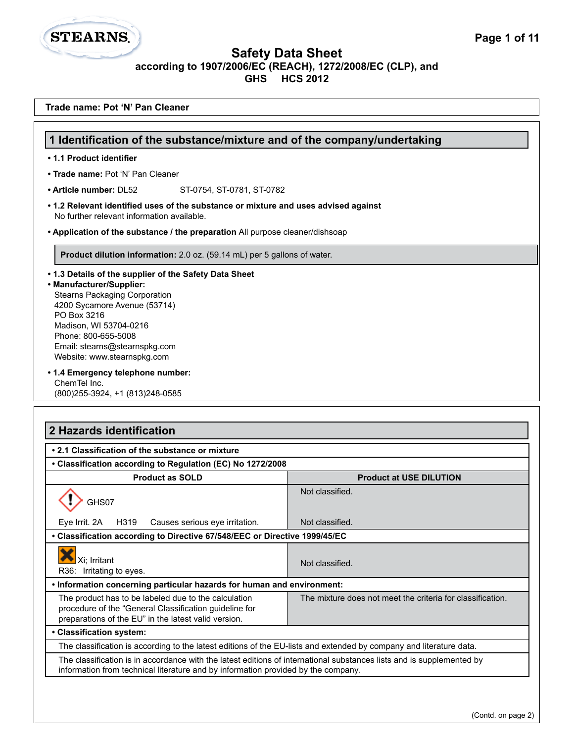**Safety Data Sheet**

**STEARNS.** 

L

**according to 1907/2006/EC (REACH), 1272/2008/EC (CLP), and**

**GHS HCS 2012**

| Trade name: Pot 'N' Pan Cleaner                                                                                                                                                                                                                                                            |                                                            |
|--------------------------------------------------------------------------------------------------------------------------------------------------------------------------------------------------------------------------------------------------------------------------------------------|------------------------------------------------------------|
| 1 Identification of the substance/mixture and of the company/undertaking                                                                                                                                                                                                                   |                                                            |
| • 1.1 Product identifier                                                                                                                                                                                                                                                                   |                                                            |
| • Trade name: Pot 'N' Pan Cleaner                                                                                                                                                                                                                                                          |                                                            |
| • Article number: DL52<br>ST-0754, ST-0781, ST-0782                                                                                                                                                                                                                                        |                                                            |
| • 1.2 Relevant identified uses of the substance or mixture and uses advised against                                                                                                                                                                                                        |                                                            |
| No further relevant information available.                                                                                                                                                                                                                                                 |                                                            |
| • Application of the substance / the preparation All purpose cleaner/dishsoap                                                                                                                                                                                                              |                                                            |
| Product dilution information: 2.0 oz. (59.14 mL) per 5 gallons of water.                                                                                                                                                                                                                   |                                                            |
| • 1.3 Details of the supplier of the Safety Data Sheet<br>• Manufacturer/Supplier:<br><b>Stearns Packaging Corporation</b><br>4200 Sycamore Avenue (53714)<br>PO Box 3216<br>Madison, WI 53704-0216<br>Phone: 800-655-5008<br>Email: stearns@stearnspkg.com<br>Website: www.stearnspkg.com |                                                            |
| • 1.4 Emergency telephone number:<br>ChemTel Inc.<br>(800) 255-3924, +1 (813) 248-0585                                                                                                                                                                                                     |                                                            |
| 2 Hazards identification                                                                                                                                                                                                                                                                   |                                                            |
|                                                                                                                                                                                                                                                                                            |                                                            |
| • 2.1 Classification of the substance or mixture                                                                                                                                                                                                                                           |                                                            |
| • Classification according to Regulation (EC) No 1272/2008<br><b>Product as SOLD</b>                                                                                                                                                                                                       | <b>Product at USE DILUTION</b>                             |
| GHS07                                                                                                                                                                                                                                                                                      | Not classified.                                            |
| H319<br>Eye Irrit. 2A<br>Causes serious eye irritation.                                                                                                                                                                                                                                    | Not classified.                                            |
| • Classification according to Directive 67/548/EEC or Directive 1999/45/EC                                                                                                                                                                                                                 |                                                            |
| Xi; Irritant<br>R36: Irritating to eyes.                                                                                                                                                                                                                                                   | Not classified.                                            |
| . Information concerning particular hazards for human and environment:                                                                                                                                                                                                                     |                                                            |
| The product has to be labeled due to the calculation<br>procedure of the "General Classification guideline for<br>preparations of the EU" in the latest valid version.                                                                                                                     | The mixture does not meet the criteria for classification. |
| • Classification system:                                                                                                                                                                                                                                                                   |                                                            |
| The classification is according to the latest editions of the EU-lists and extended by company and literature data.                                                                                                                                                                        |                                                            |
| The classification is in accordance with the latest editions of international substances lists and is supplemented by<br>information from technical literature and by information provided by the company.                                                                                 |                                                            |
|                                                                                                                                                                                                                                                                                            |                                                            |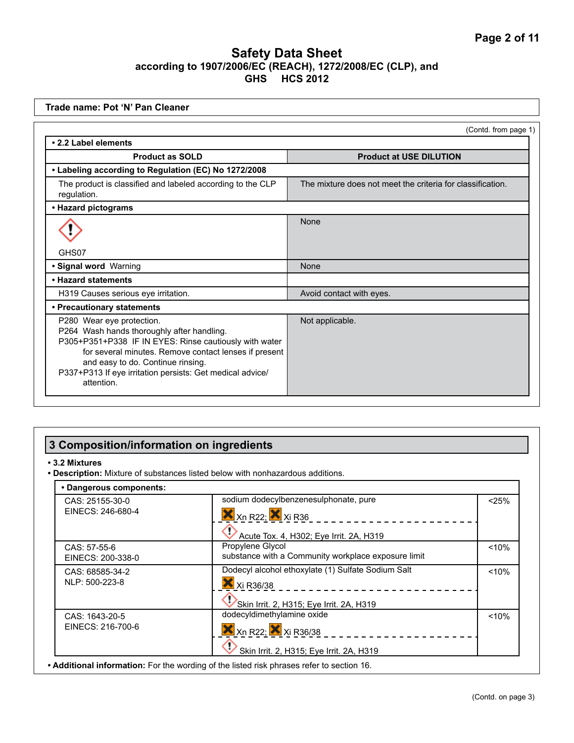| Trade name: Pot 'N' Pan Cleaner                                                                                                                                                                                                                                                                            |                                                            |
|------------------------------------------------------------------------------------------------------------------------------------------------------------------------------------------------------------------------------------------------------------------------------------------------------------|------------------------------------------------------------|
|                                                                                                                                                                                                                                                                                                            | (Contd. from page 1)                                       |
| • 2.2 Label elements                                                                                                                                                                                                                                                                                       |                                                            |
| <b>Product as SOLD</b>                                                                                                                                                                                                                                                                                     | <b>Product at USE DILUTION</b>                             |
| • Labeling according to Regulation (EC) No 1272/2008                                                                                                                                                                                                                                                       |                                                            |
| The product is classified and labeled according to the CLP<br>regulation.                                                                                                                                                                                                                                  | The mixture does not meet the criteria for classification. |
| • Hazard pictograms                                                                                                                                                                                                                                                                                        |                                                            |
|                                                                                                                                                                                                                                                                                                            | None                                                       |
| GHS07                                                                                                                                                                                                                                                                                                      |                                                            |
| · Signal word Warning                                                                                                                                                                                                                                                                                      | None                                                       |
| • Hazard statements                                                                                                                                                                                                                                                                                        |                                                            |
| H319 Causes serious eye irritation.                                                                                                                                                                                                                                                                        | Avoid contact with eyes.                                   |
| • Precautionary statements                                                                                                                                                                                                                                                                                 |                                                            |
| P280 Wear eye protection.<br>P264 Wash hands thoroughly after handling.<br>P305+P351+P338 IF IN EYES: Rinse cautiously with water<br>for several minutes. Remove contact lenses if present<br>and easy to do. Continue rinsing.<br>P337+P313 If eye irritation persists: Get medical advice/<br>attention. | Not applicable.                                            |

# **3 Composition/information on ingredients**

#### **• 3.2 Mixtures**

**• Description:** Mixture of substances listed below with nonhazardous additions.

| CAS: 25155-30-0   | sodium dodecylbenzenesulphonate, pure                                     | < 25% |
|-------------------|---------------------------------------------------------------------------|-------|
| EINECS: 246-680-4 | $X$ <sub>Xn</sub> R <sub>22</sub> ; $X$ <sub>Xi</sub> R <sub>36</sub>     |       |
|                   | Acute Tox. 4, H302; Eye Irrit. 2A, H319                                   |       |
| CAS: 57-55-6      | Propylene Glycol                                                          | < 10% |
| EINECS: 200-338-0 | substance with a Community workplace exposure limit                       |       |
| CAS: 68585-34-2   | Dodecyl alcohol ethoxylate (1) Sulfate Sodium Salt                        | < 10% |
| NLP: 500-223-8    | Xi R36/38                                                                 |       |
|                   | Skin Irrit. 2, H315; Eye Irrit. 2A, H319                                  |       |
| CAS: 1643-20-5    | dodecyldimethylamine oxide                                                | < 10% |
| EINECS: 216-700-6 | $X$ <sub>Xn</sub> R <sub>22</sub> ; $X$ <sub>Xi</sub> R <sub>36</sub> /38 |       |
|                   | Skin Irrit. 2, H315; Eye Irrit. 2A, H319                                  |       |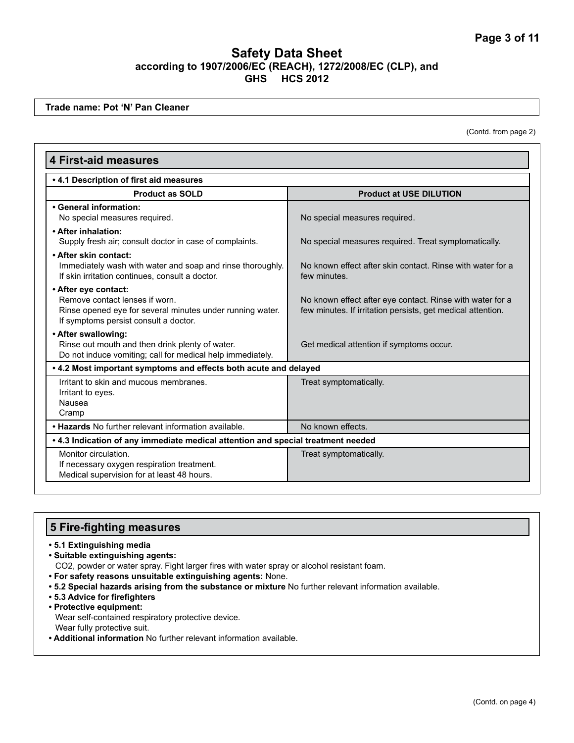**Trade name: Pot 'N' Pan Cleaner**

(Contd. from page 2)

| <b>4 First-aid measures</b>                                                                                                                                  |                                                                                                                          |
|--------------------------------------------------------------------------------------------------------------------------------------------------------------|--------------------------------------------------------------------------------------------------------------------------|
| .4.1 Description of first aid measures                                                                                                                       |                                                                                                                          |
| <b>Product as SOLD</b>                                                                                                                                       | <b>Product at USE DILUTION</b>                                                                                           |
| • General information:<br>No special measures required.                                                                                                      | No special measures required.                                                                                            |
| • After inhalation:<br>Supply fresh air; consult doctor in case of complaints.                                                                               | No special measures required. Treat symptomatically.                                                                     |
| • After skin contact:<br>Immediately wash with water and soap and rinse thoroughly.<br>If skin irritation continues, consult a doctor.                       | No known effect after skin contact. Rinse with water for a<br>few minutes.                                               |
| • After eye contact:<br>Remove contact lenses if worn.<br>Rinse opened eye for several minutes under running water.<br>If symptoms persist consult a doctor. | No known effect after eye contact. Rinse with water for a<br>few minutes. If irritation persists, get medical attention. |
| • After swallowing:<br>Rinse out mouth and then drink plenty of water.<br>Do not induce vomiting; call for medical help immediately.                         | Get medical attention if symptoms occur.                                                                                 |
| . 4.2 Most important symptoms and effects both acute and delayed                                                                                             |                                                                                                                          |
| Irritant to skin and mucous membranes.<br>Irritant to eyes.<br>Nausea<br>Cramp                                                                               | Treat symptomatically.                                                                                                   |
| . Hazards No further relevant information available.                                                                                                         | No known effects.                                                                                                        |
| . 4.3 Indication of any immediate medical attention and special treatment needed                                                                             |                                                                                                                          |
| Monitor circulation.<br>If necessary oxygen respiration treatment.<br>Medical supervision for at least 48 hours.                                             | Treat symptomatically.                                                                                                   |

#### **5 Fire-fighting measures**

#### **• 5.1 Extinguishing media**

- **Suitable extinguishing agents:**
	- CO2, powder or water spray. Fight larger fires with water spray or alcohol resistant foam.
- **For safety reasons unsuitable extinguishing agents:** None.
- **5.2 Special hazards arising from the substance or mixture** No further relevant information available.
- **5.3 Advice for firefighters**
- **Protective equipment:** Wear self-contained respiratory protective device.
	- Wear fully protective suit.
- **Additional information** No further relevant information available.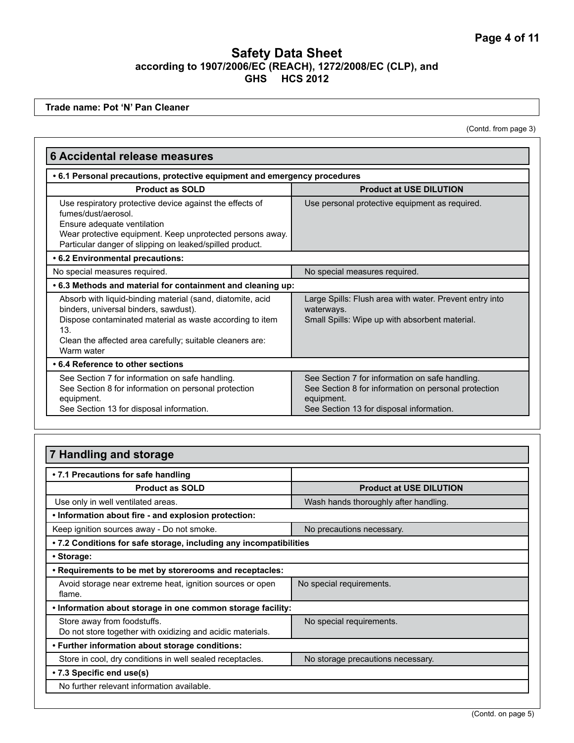**Trade name: Pot 'N' Pan Cleaner**

(Contd. from page 3)

| <b>6 Accidental release measures</b>                                                                                                                                                                                                              |                                                                                                                                                                   |
|---------------------------------------------------------------------------------------------------------------------------------------------------------------------------------------------------------------------------------------------------|-------------------------------------------------------------------------------------------------------------------------------------------------------------------|
| . 6.1 Personal precautions, protective equipment and emergency procedures                                                                                                                                                                         |                                                                                                                                                                   |
| <b>Product as SOLD</b>                                                                                                                                                                                                                            | <b>Product at USE DILUTION</b>                                                                                                                                    |
| Use respiratory protective device against the effects of<br>fumes/dust/aerosol.<br>Ensure adequate ventilation<br>Wear protective equipment. Keep unprotected persons away.<br>Particular danger of slipping on leaked/spilled product.           | Use personal protective equipment as required.                                                                                                                    |
| .6.2 Environmental precautions:                                                                                                                                                                                                                   |                                                                                                                                                                   |
| No special measures required.                                                                                                                                                                                                                     | No special measures required.                                                                                                                                     |
| .6.3 Methods and material for containment and cleaning up:                                                                                                                                                                                        |                                                                                                                                                                   |
| Absorb with liquid-binding material (sand, diatomite, acid<br>binders, universal binders, sawdust).<br>Dispose contaminated material as waste according to item<br>13.<br>Clean the affected area carefully; suitable cleaners are:<br>Warm water | Large Spills: Flush area with water. Prevent entry into<br>waterways.<br>Small Spills: Wipe up with absorbent material.                                           |
| • 6.4 Reference to other sections                                                                                                                                                                                                                 |                                                                                                                                                                   |
| See Section 7 for information on safe handling.<br>See Section 8 for information on personal protection<br>equipment.<br>See Section 13 for disposal information.                                                                                 | See Section 7 for information on safe handling.<br>See Section 8 for information on personal protection<br>equipment.<br>See Section 13 for disposal information. |

### **7 Handling and storage • 7.1 Precautions for safe handling Product as SOLD Product at USE DILUTION** Use only in well ventilated areas. Wash hands thoroughly after handling. **• Information about fire - and explosion protection:** Keep ignition sources away - Do not smoke. No precautions necessary. **• 7.2 Conditions for safe storage, including any incompatibilities • Storage: • Requirements to be met by storerooms and receptacles:** Avoid storage near extreme heat, ignition sources or open flame. No special requirements. **• Information about storage in one common storage facility:** Store away from foodstuffs. Do not store together with oxidizing and acidic materials. No special requirements. **• Further information about storage conditions:**  Store in cool, dry conditions in well sealed receptacles. No storage precautions necessary. **• 7.3 Specific end use(s)**  No further relevant information available.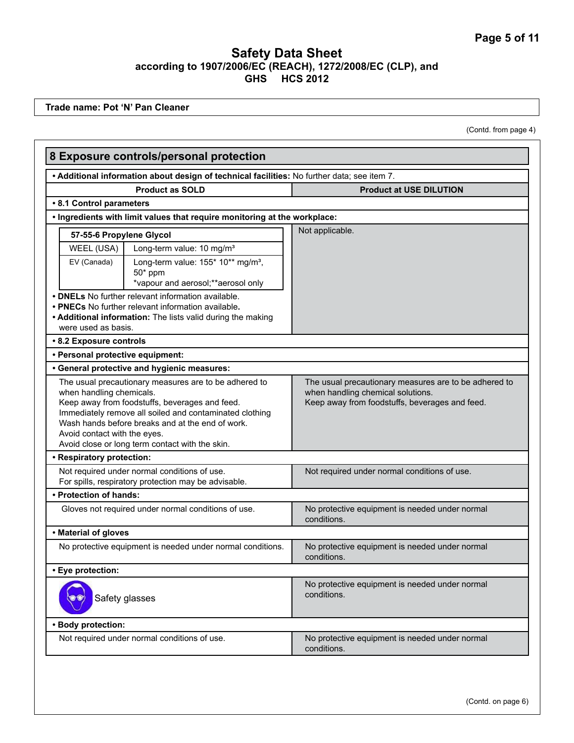**Trade name: Pot 'N' Pan Cleaner**

(Contd. from page 4)

|                                                          | 8 Exposure controls/personal protection                                                                                                                                                                                                                                   |                                                                                                                                              |
|----------------------------------------------------------|---------------------------------------------------------------------------------------------------------------------------------------------------------------------------------------------------------------------------------------------------------------------------|----------------------------------------------------------------------------------------------------------------------------------------------|
|                                                          | . Additional information about design of technical facilities: No further data; see item 7.                                                                                                                                                                               |                                                                                                                                              |
|                                                          | <b>Product as SOLD</b>                                                                                                                                                                                                                                                    | <b>Product at USE DILUTION</b>                                                                                                               |
| • 8.1 Control parameters                                 |                                                                                                                                                                                                                                                                           |                                                                                                                                              |
|                                                          | . Ingredients with limit values that require monitoring at the workplace:                                                                                                                                                                                                 |                                                                                                                                              |
| 57-55-6 Propylene Glycol                                 |                                                                                                                                                                                                                                                                           | Not applicable.                                                                                                                              |
| WEEL (USA)                                               | Long-term value: 10 mg/m <sup>3</sup>                                                                                                                                                                                                                                     |                                                                                                                                              |
| EV (Canada)                                              | Long-term value: 155* 10** mg/m <sup>3</sup> ,<br>$50*$ ppm<br>*vapour and aerosol;**aerosol only                                                                                                                                                                         |                                                                                                                                              |
| were used as basis.                                      | • DNELs No further relevant information available.<br>• PNECs No further relevant information available.<br>• Additional information: The lists valid during the making                                                                                                   |                                                                                                                                              |
| • 8.2 Exposure controls                                  |                                                                                                                                                                                                                                                                           |                                                                                                                                              |
| · Personal protective equipment:                         |                                                                                                                                                                                                                                                                           |                                                                                                                                              |
|                                                          | • General protective and hygienic measures:                                                                                                                                                                                                                               |                                                                                                                                              |
| when handling chemicals.<br>Avoid contact with the eyes. | The usual precautionary measures are to be adhered to<br>Keep away from foodstuffs, beverages and feed.<br>Immediately remove all soiled and contaminated clothing<br>Wash hands before breaks and at the end of work.<br>Avoid close or long term contact with the skin. | The usual precautionary measures are to be adhered to<br>when handling chemical solutions.<br>Keep away from foodstuffs, beverages and feed. |
| • Respiratory protection:                                |                                                                                                                                                                                                                                                                           |                                                                                                                                              |
|                                                          | Not required under normal conditions of use.<br>For spills, respiratory protection may be advisable.                                                                                                                                                                      | Not required under normal conditions of use.                                                                                                 |
| • Protection of hands:                                   |                                                                                                                                                                                                                                                                           |                                                                                                                                              |
|                                                          | Gloves not required under normal conditions of use.                                                                                                                                                                                                                       | No protective equipment is needed under normal<br>conditions.                                                                                |
| • Material of gloves                                     |                                                                                                                                                                                                                                                                           |                                                                                                                                              |
|                                                          | No protective equipment is needed under normal conditions.                                                                                                                                                                                                                | No protective equipment is needed under normal<br>conditions.                                                                                |
| · Eye protection:                                        |                                                                                                                                                                                                                                                                           |                                                                                                                                              |
|                                                          | Safety glasses                                                                                                                                                                                                                                                            | No protective equipment is needed under normal<br>conditions.                                                                                |
| • Body protection:                                       |                                                                                                                                                                                                                                                                           |                                                                                                                                              |
|                                                          | Not required under normal conditions of use.                                                                                                                                                                                                                              | No protective equipment is needed under normal<br>conditions.                                                                                |
|                                                          |                                                                                                                                                                                                                                                                           |                                                                                                                                              |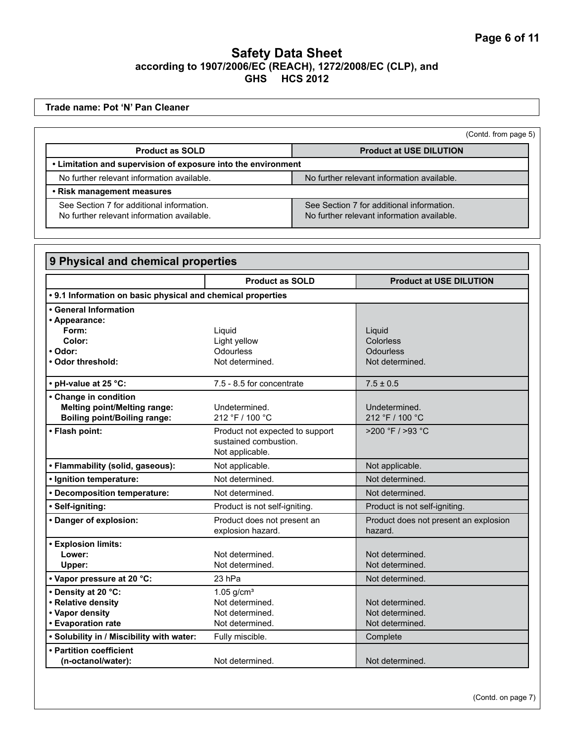**Trade name: Pot 'N' Pan Cleaner**

(Contd. from page 5)

| <b>Product as SOLD</b>                                                                  | <b>Product at USE DILUTION</b>                                                          |
|-----------------------------------------------------------------------------------------|-----------------------------------------------------------------------------------------|
| • Limitation and supervision of exposure into the environment                           |                                                                                         |
| No further relevant information available.                                              | No further relevant information available.                                              |
| • Risk management measures                                                              |                                                                                         |
| See Section 7 for additional information.<br>No further relevant information available. | See Section 7 for additional information.<br>No further relevant information available. |

| 9 Physical and chemical properties                          |                                 |                                       |
|-------------------------------------------------------------|---------------------------------|---------------------------------------|
|                                                             | <b>Product as SOLD</b>          | <b>Product at USE DILUTION</b>        |
| • 9.1 Information on basic physical and chemical properties |                                 |                                       |
| • General Information                                       |                                 |                                       |
| • Appearance:                                               |                                 |                                       |
| Form:                                                       | Liguid                          | Liquid                                |
| Color:                                                      | Light yellow                    | Colorless                             |
| • Odor:                                                     | Odourless                       | Odourless                             |
| • Odor threshold:                                           | Not determined.                 | Not determined.                       |
| • pH-value at 25 °C:                                        | 7.5 - 8.5 for concentrate       | $7.5 \pm 0.5$                         |
| • Change in condition                                       |                                 |                                       |
| <b>Melting point/Melting range:</b>                         | Undetermined.                   | Undetermined.                         |
| <b>Boiling point/Boiling range:</b>                         | 212 °F / 100 °C                 | 212 °F / 100 °C                       |
| • Flash point:                                              | Product not expected to support | >200 °F / >93 °C                      |
|                                                             | sustained combustion.           |                                       |
|                                                             | Not applicable.                 |                                       |
| • Flammability (solid, gaseous):                            | Not applicable.                 | Not applicable.                       |
| · Ignition temperature:                                     | Not determined.                 | Not determined.                       |
| • Decomposition temperature:                                | Not determined.                 | Not determined.                       |
| · Self-igniting:                                            | Product is not self-igniting.   | Product is not self-igniting.         |
| • Danger of explosion:                                      | Product does not present an     | Product does not present an explosion |
|                                                             | explosion hazard.               | hazard.                               |
| • Explosion limits:                                         |                                 |                                       |
| Lower:                                                      | Not determined.                 | Not determined.                       |
| Upper:                                                      | Not determined.                 | Not determined.                       |
| • Vapor pressure at 20 °C:                                  | 23 hPa                          | Not determined.                       |
| • Density at 20 °C:                                         | $1.05$ g/cm <sup>3</sup>        |                                       |
| · Relative density                                          | Not determined.                 | Not determined.                       |
| • Vapor density                                             | Not determined.                 | Not determined.                       |
| • Evaporation rate                                          | Not determined.                 | Not determined.                       |
| . Solubility in / Miscibility with water:                   | Fully miscible.                 | Complete                              |
| • Partition coefficient                                     |                                 |                                       |
| (n-octanol/water):                                          | Not determined.                 | Not determined.                       |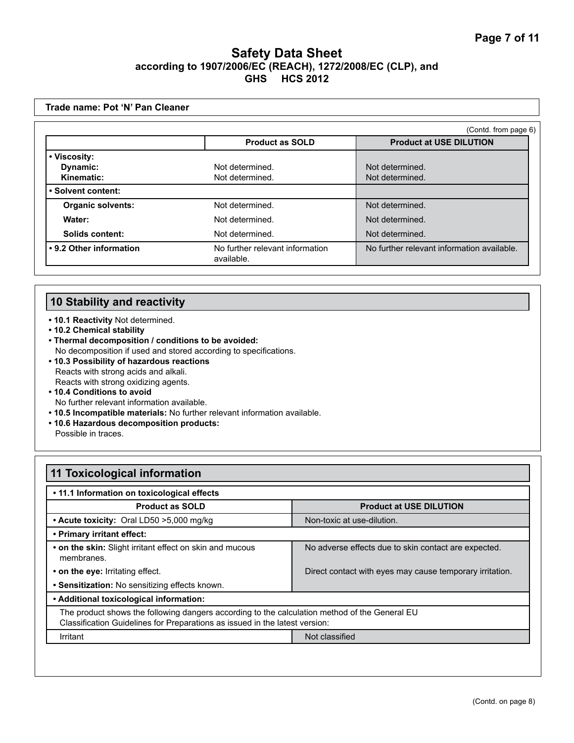|                          |                                               | (Contd. from page 6)                       |
|--------------------------|-----------------------------------------------|--------------------------------------------|
|                          | <b>Product as SOLD</b>                        | <b>Product at USE DILUTION</b>             |
| • Viscosity:             |                                               |                                            |
| Dynamic:                 | Not determined.                               | Not determined.                            |
| Kinematic:               | Not determined.                               | Not determined.                            |
| • Solvent content:       |                                               |                                            |
| <b>Organic solvents:</b> | Not determined.                               | Not determined.                            |
| Water:                   | Not determined.                               | Not determined.                            |
| Solids content:          | Not determined.                               | Not determined.                            |
| • 9.2 Other information  | No further relevant information<br>available. | No further relevant information available. |

## **10 Stability and reactivity**

- **10.1 Reactivity** Not determined.
- **10.2 Chemical stability**
- **Thermal decomposition / conditions to be avoided:** No decomposition if used and stored according to specifications.
- **10.3 Possibility of hazardous reactions** Reacts with strong acids and alkali. Reacts with strong oxidizing agents.
- **10.4 Conditions to avoid**  No further relevant information available.
- **10.5 Incompatible materials:** No further relevant information available.
- **10.6 Hazardous decomposition products:** Possible in traces.

| <b>11 Toxicological information</b>                                                                                                                                          |                                                          |  |
|------------------------------------------------------------------------------------------------------------------------------------------------------------------------------|----------------------------------------------------------|--|
| • 11.1 Information on toxicological effects                                                                                                                                  |                                                          |  |
| <b>Product as SOLD</b>                                                                                                                                                       | <b>Product at USE DILUTION</b>                           |  |
| • Acute toxicity: Oral LD50 > 5,000 mg/kg                                                                                                                                    | Non-toxic at use-dilution.                               |  |
| • Primary irritant effect:                                                                                                                                                   |                                                          |  |
| • on the skin: Slight irritant effect on skin and mucous<br>membranes.                                                                                                       | No adverse effects due to skin contact are expected.     |  |
| • on the eye: Irritating effect.                                                                                                                                             | Direct contact with eyes may cause temporary irritation. |  |
| • Sensitization: No sensitizing effects known.                                                                                                                               |                                                          |  |
| • Additional toxicological information:                                                                                                                                      |                                                          |  |
| The product shows the following dangers according to the calculation method of the General EU<br>Classification Guidelines for Preparations as issued in the latest version: |                                                          |  |
| Irritant                                                                                                                                                                     | Not classified                                           |  |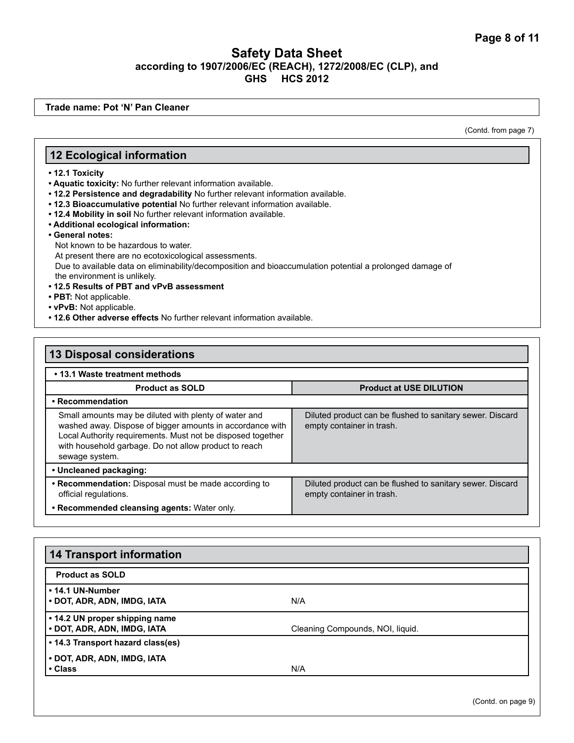**Trade name: Pot 'N' Pan Cleaner**

(Contd. from page 7)

#### **12 Ecological information**

- **12.1 Toxicity**
- **Aquatic toxicity:** No further relevant information available.
- **12.2 Persistence and degradability** No further relevant information available.
- **12.3 Bioaccumulative potential** No further relevant information available.
- **12.4 Mobility in soil** No further relevant information available.
- **Additional ecological information:**
- **General notes:**
	- Not known to be hazardous to water.

At present there are no ecotoxicological assessments.

Due to available data on eliminability/decomposition and bioaccumulation potential a prolonged damage of the environment is unlikely.

- **12.5 Results of PBT and vPvB assessment**
- **PBT:** Not applicable.
- **vPvB:** Not applicable.
- **12.6 Other adverse effects** No further relevant information available.

#### **13 Disposal considerations • 13.1 Waste treatment methods Product as SOLD Product at USE DILUTION • Recommendation** Small amounts may be diluted with plenty of water and washed away. Dispose of bigger amounts in accordance with Local Authority requirements. Must not be disposed together with household garbage. Do not allow product to reach sewage system. Diluted product can be flushed to sanitary sewer. Discard empty container in trash. **• Uncleaned packaging: • Recommendation:** Disposal must be made according to official regulations. Diluted product can be flushed to sanitary sewer. Discard empty container in trash. **• Recommended cleansing agents:** Water only.

| <b>14 Transport information</b>                               |                                  |  |
|---------------------------------------------------------------|----------------------------------|--|
| <b>Product as SOLD</b>                                        |                                  |  |
| • 14.1 UN-Number<br>• DOT, ADR, ADN, IMDG, IATA               | N/A                              |  |
| • 14.2 UN proper shipping name<br>• DOT, ADR, ADN, IMDG, IATA | Cleaning Compounds, NOI, liquid. |  |
| • 14.3 Transport hazard class(es)                             |                                  |  |
| • DOT, ADR, ADN, IMDG, IATA                                   |                                  |  |
| • Class                                                       | N/A                              |  |

(Contd. on page 9)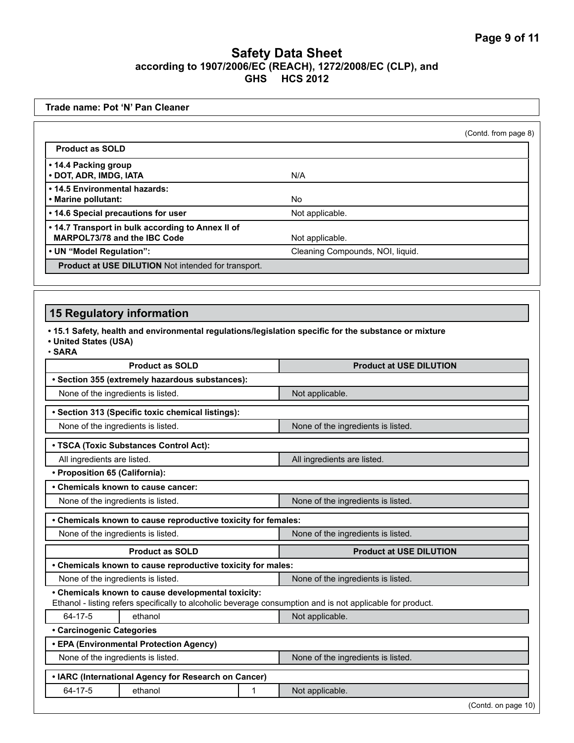|                                                                                                                                                |                                    | (Contd. from page 8) |
|------------------------------------------------------------------------------------------------------------------------------------------------|------------------------------------|----------------------|
| <b>Product as SOLD</b>                                                                                                                         |                                    |                      |
| • 14.4 Packing group<br>· DOT, ADR, IMDG, IATA                                                                                                 | N/A                                |                      |
| • 14.5 Environmental hazards:<br>• Marine pollutant:                                                                                           | No                                 |                      |
| • 14.6 Special precautions for user                                                                                                            | Not applicable.                    |                      |
| . 14.7 Transport in bulk according to Annex II of<br>MARPOL73/78 and the IBC Code                                                              | Not applicable.                    |                      |
| • UN "Model Regulation":                                                                                                                       | Cleaning Compounds, NOI, liquid.   |                      |
| Product at USE DILUTION Not intended for transport.                                                                                            |                                    |                      |
|                                                                                                                                                |                                    |                      |
| <b>15 Regulatory information</b>                                                                                                               |                                    |                      |
| . 15.1 Safety, health and environmental regulations/legislation specific for the substance or mixture<br>• United States (USA)<br>$\cdot$ SARA |                                    |                      |
| <b>Product as SOLD</b>                                                                                                                         | <b>Product at USE DILUTION</b>     |                      |
| · Section 355 (extremely hazardous substances):                                                                                                |                                    |                      |
| None of the ingredients is listed.                                                                                                             | Not applicable.                    |                      |
|                                                                                                                                                |                                    |                      |
| • Section 313 (Specific toxic chemical listings):                                                                                              |                                    |                      |
| None of the ingredients is listed.                                                                                                             | None of the ingredients is listed. |                      |
|                                                                                                                                                |                                    |                      |
| • TSCA (Toxic Substances Control Act):<br>All ingredients are listed.                                                                          | All ingredients are listed.        |                      |
| • Proposition 65 (California):                                                                                                                 |                                    |                      |
| • Chemicals known to cause cancer:                                                                                                             |                                    |                      |
| None of the ingredients is listed.                                                                                                             | None of the ingredients is listed. |                      |
|                                                                                                                                                |                                    |                      |
| • Chemicals known to cause reproductive toxicity for females:<br>None of the ingredients is listed.                                            | None of the ingredients is listed. |                      |
|                                                                                                                                                |                                    |                      |
| <b>Product as SOLD</b>                                                                                                                         | <b>Product at USE DILUTION</b>     |                      |
| • Chemicals known to cause reproductive toxicity for males:<br>None of the ingredients is listed.                                              | None of the ingredients is listed. |                      |
| • Chemicals known to cause developmental toxicity:                                                                                             |                                    |                      |
| Ethanol - listing refers specifically to alcoholic beverage consumption and is not applicable for product.<br>64-17-5<br>ethanol               | Not applicable.                    |                      |
| • Carcinogenic Categories                                                                                                                      |                                    |                      |
| • EPA (Environmental Protection Agency)                                                                                                        |                                    |                      |
| None of the ingredients is listed.                                                                                                             | None of the ingredients is listed. |                      |
| • IARC (International Agency for Research on Cancer)                                                                                           |                                    |                      |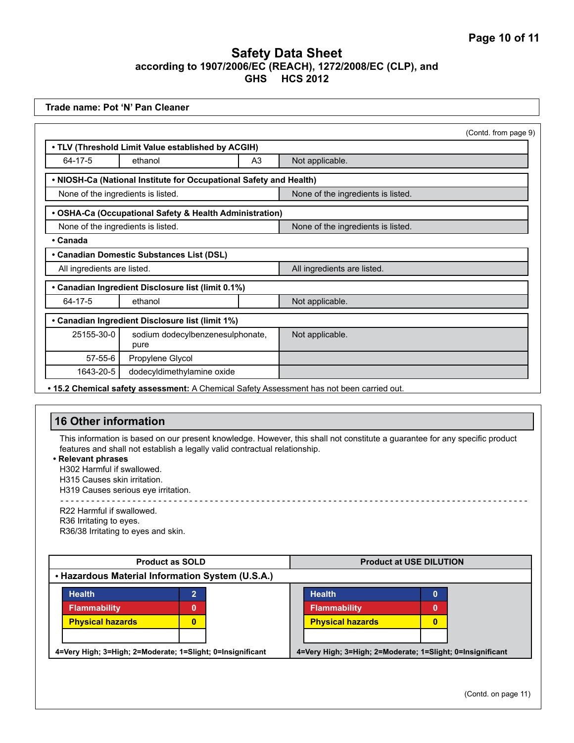| Trade name: Pot 'N' Pan Cleaner                                                                                                          |                                                                                                                                                          |                                                                                                                             |  |
|------------------------------------------------------------------------------------------------------------------------------------------|----------------------------------------------------------------------------------------------------------------------------------------------------------|-----------------------------------------------------------------------------------------------------------------------------|--|
|                                                                                                                                          |                                                                                                                                                          | (Contd. from page 9)                                                                                                        |  |
|                                                                                                                                          | . TLV (Threshold Limit Value established by ACGIH)                                                                                                       |                                                                                                                             |  |
| $64 - 17 - 5$                                                                                                                            | ethanol<br>A <sub>3</sub>                                                                                                                                | Not applicable.                                                                                                             |  |
|                                                                                                                                          | . NIOSH-Ca (National Institute for Occupational Safety and Health)                                                                                       |                                                                                                                             |  |
| None of the ingredients is listed.                                                                                                       |                                                                                                                                                          | None of the ingredients is listed.                                                                                          |  |
|                                                                                                                                          | • OSHA-Ca (Occupational Safety & Health Administration)                                                                                                  |                                                                                                                             |  |
| None of the ingredients is listed.                                                                                                       |                                                                                                                                                          | None of the ingredients is listed.                                                                                          |  |
| • Canada                                                                                                                                 |                                                                                                                                                          |                                                                                                                             |  |
|                                                                                                                                          | • Canadian Domestic Substances List (DSL)                                                                                                                |                                                                                                                             |  |
| All ingredients are listed.                                                                                                              |                                                                                                                                                          | All ingredients are listed.                                                                                                 |  |
|                                                                                                                                          | • Canadian Ingredient Disclosure list (limit 0.1%)                                                                                                       |                                                                                                                             |  |
| 64-17-5                                                                                                                                  | ethanol                                                                                                                                                  | Not applicable.                                                                                                             |  |
|                                                                                                                                          | • Canadian Ingredient Disclosure list (limit 1%)                                                                                                         |                                                                                                                             |  |
| 25155-30-0                                                                                                                               | sodium dodecylbenzenesulphonate,<br>pure                                                                                                                 | Not applicable.                                                                                                             |  |
| 57-55-6                                                                                                                                  | Propylene Glycol                                                                                                                                         |                                                                                                                             |  |
| 1643-20-5                                                                                                                                | dodecyldimethylamine oxide                                                                                                                               |                                                                                                                             |  |
|                                                                                                                                          |                                                                                                                                                          | . 15.2 Chemical safety assessment: A Chemical Safety Assessment has not been carried out.                                   |  |
|                                                                                                                                          |                                                                                                                                                          |                                                                                                                             |  |
| <b>16 Other information</b>                                                                                                              |                                                                                                                                                          |                                                                                                                             |  |
| • Relevant phrases<br>H302 Harmful if swallowed.<br>H315 Causes skin irritation.<br>R22 Harmful if swallowed.<br>R36 Irritating to eyes. | features and shall not establish a legally valid contractual relationship.<br>H319 Causes serious eye irritation.<br>R36/38 Irritating to eyes and skin. | This information is based on our present knowledge. However, this shall not constitute a guarantee for any specific product |  |
|                                                                                                                                          |                                                                                                                                                          |                                                                                                                             |  |
|                                                                                                                                          | <b>Product as SOLD</b>                                                                                                                                   | <b>Product at USE DILUTION</b>                                                                                              |  |
|                                                                                                                                          | • Hazardous Material Information System (U.S.A.)                                                                                                         |                                                                                                                             |  |
| <b>Health</b><br><b>Flammability</b><br><b>Physical hazards</b>                                                                          | $\overline{2}$<br>$\mathbf{0}$<br>$\bf{0}$                                                                                                               | <b>Health</b><br>0<br><b>Flammability</b><br>0<br><b>Physical hazards</b><br>$\bf{0}$                                       |  |
|                                                                                                                                          | 4=Very High; 3=High; 2=Moderate; 1=Slight; 0=Insignificant                                                                                               | 4=Very High; 3=High; 2=Moderate; 1=Slight; 0=Insignificant                                                                  |  |